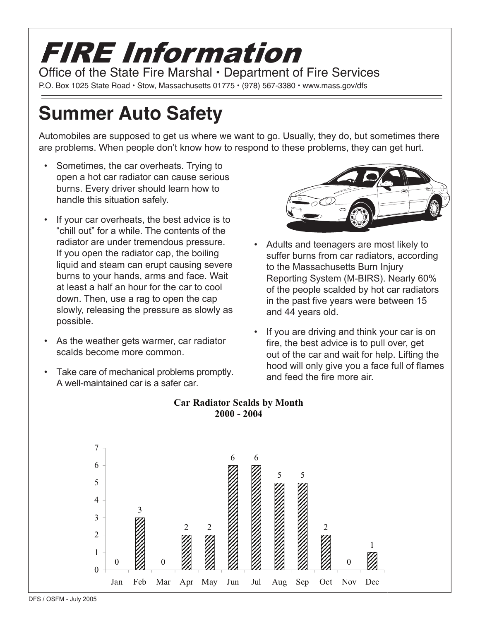## FIRE Information Office of the State Fire Marshal • Department of Fire Services

### P.O. Box 1025 State Road • Stow, Massachusetts 01775 • (978) 567-3380 • www.mass.gov/dfs

# **Summer Auto Safety**

Automobiles are supposed to get us where we want to go. Usually, they do, but sometimes there are problems. When people don't know how to respond to these problems, they can get hurt.

- Sometimes, the car overheats. Trying to open a hot car radiator can cause serious burns. Every driver should learn how to handle this situation safely.
- If your car overheats, the best advice is to "chill out" for a while. The contents of the radiator are under tremendous pressure. If you open the radiator cap, the boiling liquid and steam can erupt causing severe burns to your hands, arms and face. Wait at least a half an hour for the car to cool down. Then, use a rag to open the cap slowly, releasing the pressure as slowly as possible.
- As the weather gets warmer, car radiator scalds become more common.
- Take care of mechanical problems promptly. A well-maintained car is a safer car.



- Adults and teenagers are most likely to suffer burns from car radiators, according to the Massachusetts Burn Injury Reporting System (M-BIRS). Nearly 60% of the people scalded by hot car radiators in the past five years were between 15 and 44 years old.
- If you are driving and think your car is on fire, the best advice is to pull over, get out of the car and wait for help. Lifting the hood will only give you a face full of flames and feed the fire more air



#### **Car Radiator Scalds by Month 2000 - 2004**

DFS / OSFM - July 2005